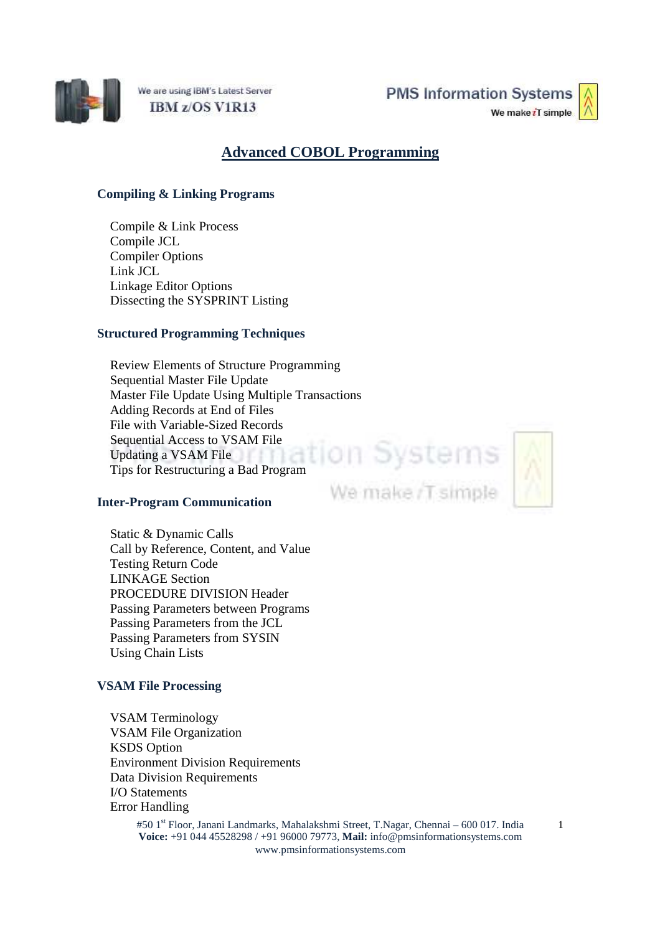

We are using IBM's Latest Server IBM z/OS V1R13

**PMS Information Systems** 

We make iT simple



# **Advanced COBOL Programming**

## **Compiling & Linking Programs**

Compile & Link Process Compile JCL Compiler Options Link JCL Linkage Editor Options Dissecting the SYSPRINT Listing

## **Structured Programming Techniques**

Review Elements of Structure Programming Sequential Master File Update Master File Update Using Multiple Transactions Adding Records at End of Files File with Variable-Sized Records Sequential Access to VSAM File Updating a VSAM File Tips for Restructuring a Bad Program<br>Tips for Restructuring a Bad Program

#### **Inter-Program Communication**

Static & Dynamic Calls Call by Reference, Content, and Value Testing Return Code LINKAGE Section PROCEDURE DIVISION Header Passing Parameters between Programs Passing Parameters from the JCL Passing Parameters from SYSIN Using Chain Lists

## **VSAM File Processing**

VSAM Terminology VSAM File Organization KSDS Option Environment Division Requirements Data Division Requirements I/O Statements Error Handling

> #50 1st Floor, Janani Landmarks, Mahalakshmi Street, T.Nagar, Chennai – 600 017. India **Voice:** +91 044 45528298 / +91 96000 79773, **Mail:** info@pmsinformationsystems.com www.pmsinformationsystems.com

We make /T simple